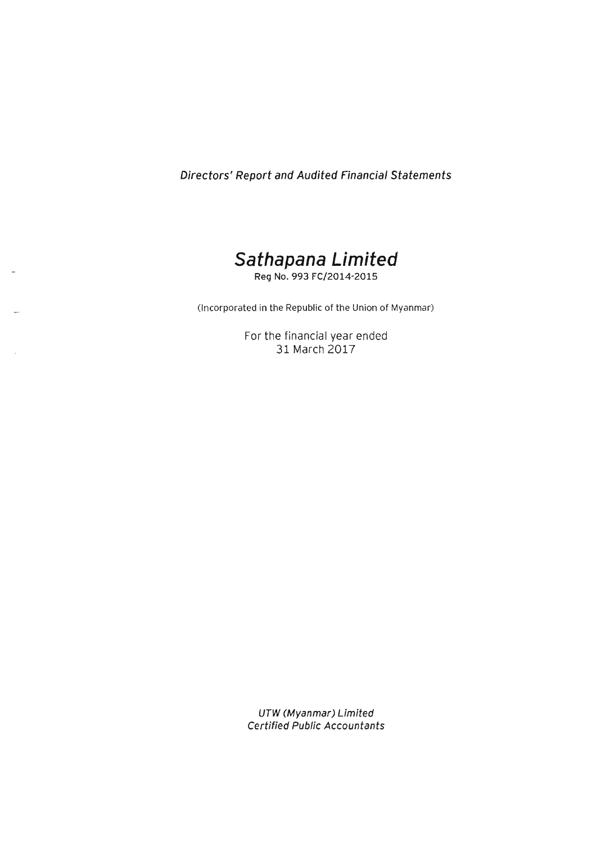Directors' Report and Audited Financial Statements



Reg No. 993 FC/2014-2015

(Incorporated in the Republic of the Union of Myanmar)

For the financial year ended 31 March 2017

UTW (Myanmar) Limited Certified Public Accountants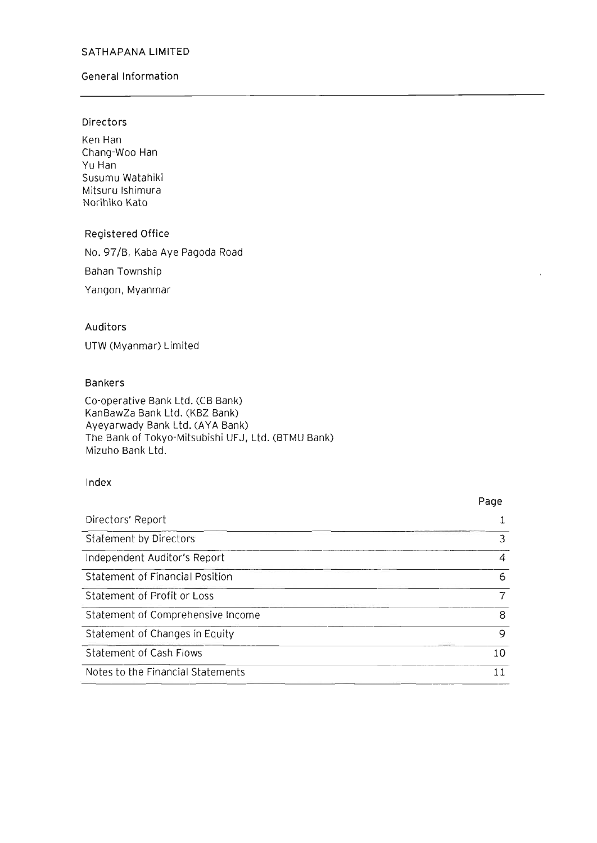#### General Information

### Directors

Ken Han Chang-Woo Han Yu Han Susumu Watahiki Mitsuru Ishimura Norihiko Kato

#### Registered Office

No. 97/B, Kaba Aye Pagoda Road

Bahan Township

Yangon, Myanmar

### Auditors

UTW (Myanmar) Limited

#### Bankers

Co-operative Bank Ltd. (CB Bank) KanBawZa Bank Ltd. (KBZ Bank) Ayeyarwady Bank Ltd. (AYA Bank) The Bank of Tokyo-Mitsubishi UFJ, Ltd. (BTMU Bank) Mizuho Bank Ltd.

### Index

#### Directors' Report Statement by Directors Independent Auditor's Report Statement of Financial Position Statement of Profit or Loss Statement of Comprehensive Income Statement of Changes in Equity Statement of Cash Flows Notes to the Financial Statements Page 1 3 4 6 7 8 9 10 11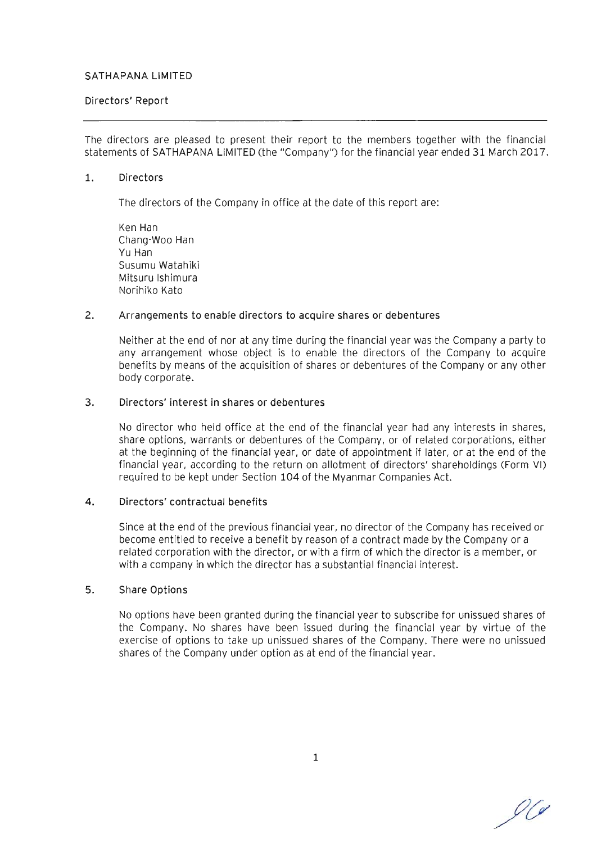### Directors' Report

The directors are pleased to present their report to the members together with the financial statements of SATHAPANA LIMITED (the "Company") for the financial year ended 31 March 2017.

#### 1. Directors

The directors of the Company in office at the date of this report are:

Ken Han Chang-Woo Han Yu Han Susumu Watahiki Mitsuru Ishimura Norihiko Kato

#### 2. Arrangements to enable directors to acquire shares or debentures

Neither at the end of nor at any time during the financial year was the Company a party to any arrangement whose object is to enable the directors of the Company to acquire benefits by means of the acquisition of shares or debentures of the Company or any other body corporate.

#### 3. Directors' interest in shares or debentures

No director who held office at the end of the financial year had any interests in shares, share options, warrants or debentures of the Company, or of related corporations, either at the beginning of the financial year, or date of appointment if later, or at the end of the financial year, according to the return on allotment of directors' shareholdings (Form VI) required to be kept under Section 104 of the Myanmar Companies Act.

#### 4. Directors' contractual benefits

Since at the end of the previous financial year, no director of the Company has received or become entitled to receive a benefit by reason of a contract made by the Company or a related corporation with the director, or with a firm of which the director is a member, or with a company in which the director has a substantial financial interest.

#### 5. Share Options

No options have been granted during the financial year to subscribe for unissued shares of the Company. No shares have been issued during the financial year by virtue of the exercise of options to take up unissued shares of the Company. There were no unissued shares of the Company under option as at end of the financial year.

90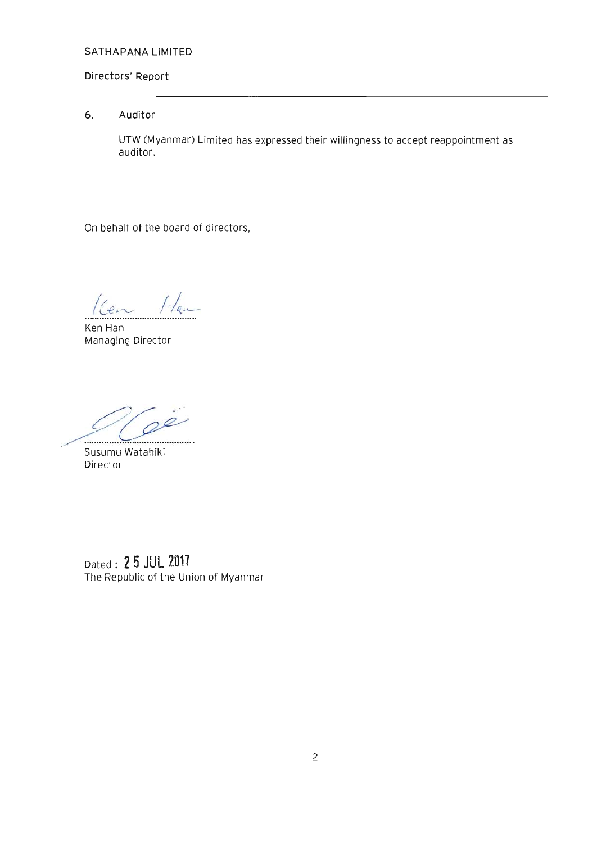### **Directors' Report**

# **6. Auditor**

UTW (Myanmar) Limited has expressed their willingness to accept reappointment as auditor.

On behalf of the board of directors,

 $K$ en Han  $H_{a}$ 

Managing Director

*g* c;/~ *.... .... ... -......... .* 

Susumu Watahiki Director

Dated: 2 **5 JUL 2017**  The Republic of the Union of Myanmar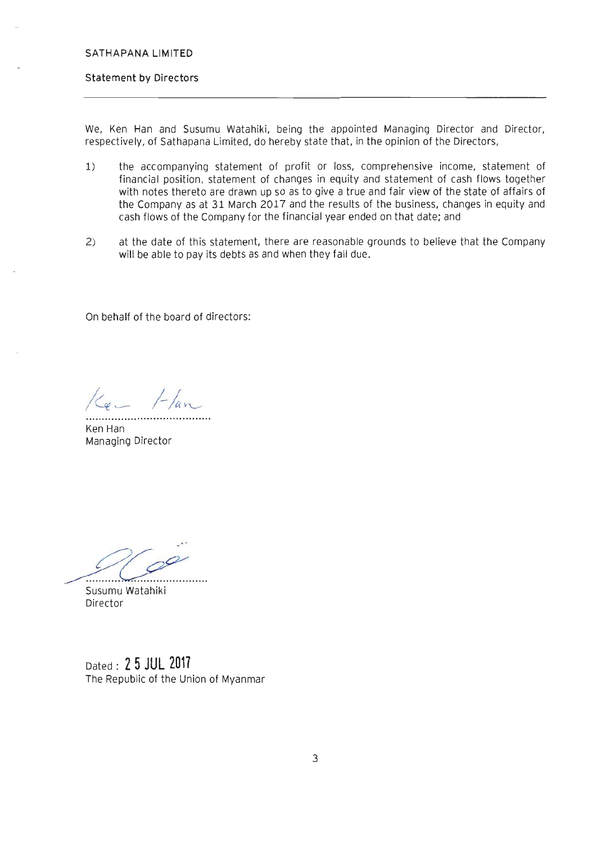#### **Statement by Directors**

We, Ken Han and Susumu Watahiki, being the appointed Managing Director and Director, respectively, of Sathapana Limited, do hereby state that. in the opinion of the Directors,

- 1) the accompanying statement of profit or loss, comprehensive income, statement of financial position, statement of changes in equity and statement of cash flows together with notes thereto are drawn up so as to give a true and fair view of the state of affairs of the Company as at 31 March 2017 and the results of the business, changes in equity and cash flows of the Company for the financial year ended on that date; and
- 2) at the date of this statement, there are reasonable grounds to believe that the Company will be able to pay its debts as and when they fall due.

On behalf of the board of directors:

 $1 -$ lan

Ken Han Managing Director

. *<u>Susumu Watabiki</u>* 

Susumu Watahiki Director

Dated: 2 **5 JUL 2011**  The Republic of the Union of Myanmar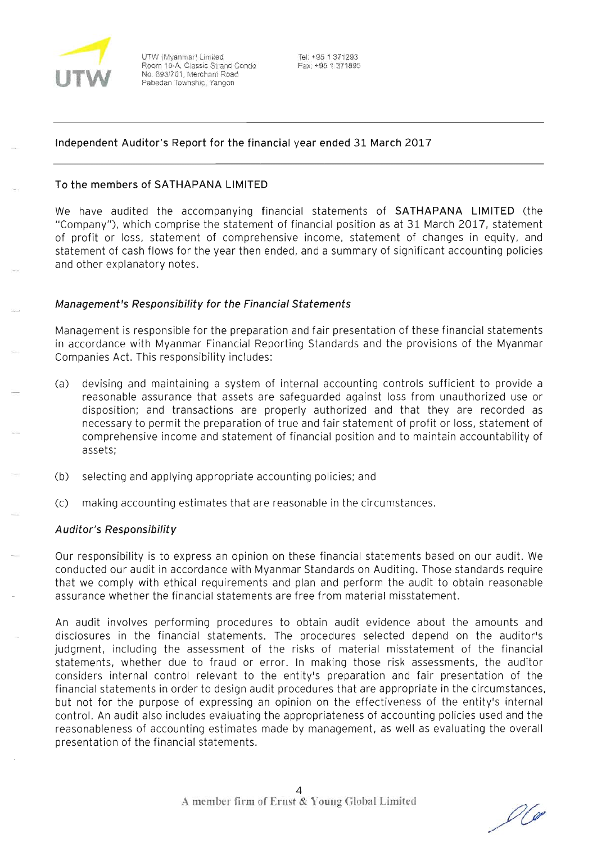

UTW (Myanmar) Limited Room 10-A, Classic Strand Condo No. 693/701. Merchant Road Pabedan Township, Yangon

Tel: +95 1 371293 Fax: +95 1 371895

# **Independent Auditor's Report for the financial year ended 31 March 2017**

### **To the members of SATHAPANA LIMITED**

We have audited the accompanying financial statements of **SATHAPANA LIMITED** (the "Company"), which comprise the statement of financial position as at 31 March 2017, statement of profit or loss, statement of comprehensive income, statement of changes in equity, and statement of cash flows for the year then ended, and a summary of significant accounting policies and other explanatory notes.

### **Management's Responsibility for the Financial Statements**

Management is responsible for the preparation and fair presentation of these financial statements in accordance with Myanmar Financial Reporting Standards and the provisions of the Myanmar Companies Act. This responsibility includes:

- (a) devising and maintaining a system of internal accounting controls sufficient to provide a reasonable assurance that assets are safeguarded against loss from unauthorized use or disposition; and transactions are properly authorized and that they are recorded as necessary to permit the preparation of true and fair statement of profit or loss, statement of comprehensive income and statement of financial position and to maintain accountability of assets;
- (b) selecting and applying appropriate accounting policies; and
- (c) making accounting estimates that are reasonable in the circumstances.

# **A uditor's Responsibility**

Our responsibility is to express an opinion on these financial statements based on our audit. We conducted our audit in accordance with Myanmar Standards on Auditing. Those standards require that we comply with ethical requirements and plan and perform the audit to obtain reasonable assurance whether the financial statements are free from material misstatement.

An audit involves performing procedures to obtain audit evidence about the amounts and disclosures in the financial statements. The procedures selected depend on the auditor's judgment, including the assessment of the risks of material misstatement of the financial statements, whether due to fraud or error. In making those risk assessments, the auditor considers internal control relevant to the entity's preparation and fair presentation of the financial statements **in** order to design audit procedures that are appropriate in the circumstances, but not for the purpose of expressing an opinion on the effectiveness of the entity's internal control. An audit also includes evaluating the appropriateness of accounting policies used and the reasonableness of accounting estimates made by management, as well as evaluating the overall presentation of the financial statements.

U C O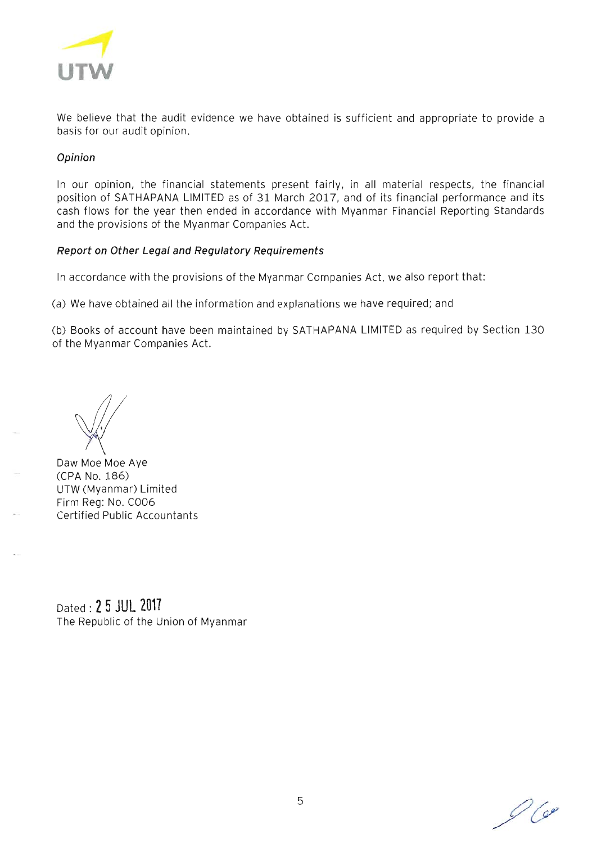

We believe that the audit evidence we have obtained is sufficient and appropriate to provide a basis for our audit opinion.

# **Opinion**

In our opinion, the financial statements present fairly, in all material respects, the financial position of SATHAPANA LIMITED as of 31 March 2017, and of its financial performance and its cash flows for the year then ended in accordance with Myanmar Financial Reporting Standards and the provisions of the Myanmar Companies Act.

# **Report on Other Legal and Regulatory Requirements**

In accordance with the provisions of the Myanmar Companies Act, we also report that:

(a) We have obtained all the information and explanations we have required; and

(b) Books of account have been maintained by SATHAPANA LIMITED as required by Section 130 of the Myanmar Companies Act.

Daw Moe Moe Aye (CPA No. 186) UTW (Myanmar) Limited Firm Reg: No. C006 Certified Public Accountants

Dated: 2 **5 JUL 2017**  The Republic of the Union of Myanmar

 $O$  Cep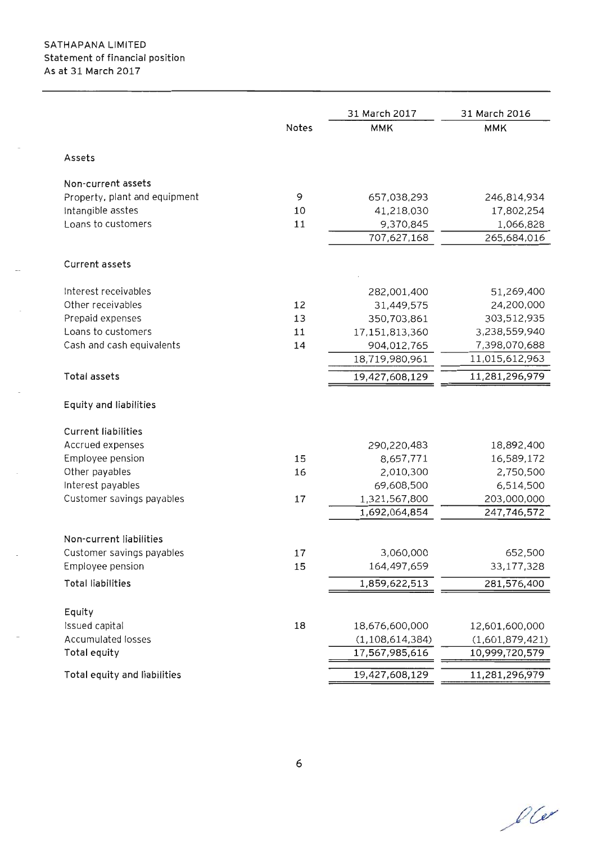|                               |       | 31 March 2017      | 31 March 2016   |
|-------------------------------|-------|--------------------|-----------------|
|                               | Notes | <b>MMK</b>         | <b>MMK</b>      |
| Assets                        |       |                    |                 |
| Non-current assets            |       |                    |                 |
| Property, plant and equipment | 9     | 657,038,293        | 246,814,934     |
| Intangible asstes             | 10    | 41,218,030         | 17,802,254      |
| Loans to customers            | 11    | 9,370,845          | 1,066,828       |
|                               |       | 707,627,168        | 265,684,016     |
| <b>Current assets</b>         |       |                    |                 |
| Interest receivables          |       | 282,001,400        | 51,269,400      |
| Other receivables             | 12    | 31,449,575         | 24,200,000      |
| Prepaid expenses              | 13    | 350,703,861        | 303,512,935     |
| Loans to customers            | 11    | 17,151,813,360     | 3,238,559,940   |
| Cash and cash equivalents     | 14    | 904,012,765        | 7,398,070,688   |
|                               |       | 18,719,980,961     | 11,015,612,963  |
| Total assets                  |       | 19,427,608,129     | 11,281,296,979  |
| Equity and liabilities        |       |                    |                 |
| <b>Current liabilities</b>    |       |                    |                 |
| Accrued expenses              |       | 290,220,483        | 18,892,400      |
| Employee pension              | 15    | 8,657,771          | 16,589,172      |
| Other payables                | 16    | 2,010,300          | 2,750,500       |
| Interest payables             |       | 69,608,500         | 6,514,500       |
| Customer savings payables     | 17    | 1,321,567,800      | 203,000,000     |
|                               |       | 1,692,064,854      | 247,746,572     |
| Non-current liabilities       |       |                    |                 |
| Customer savings payables     | 17    | 3,060,000          | 652,500         |
| Employee pension              | 15    | 164,497,659        | 33,177,328      |
| <b>Total liabilities</b>      |       | 1,859,622,513      | 281,576,400     |
| Equity                        |       |                    |                 |
| Issued capital                | 18    | 18,676,600,000     | 12,601,600,000  |
| <b>Accumulated losses</b>     |       | (1, 108, 614, 384) | (1,601,879,421) |
| Total equity                  |       | 17,567,985,616     | 10,999,720,579  |
| Total equity and liabilities  |       | 19,427,608,129     | 11,281,296,979  |

 $O(e)$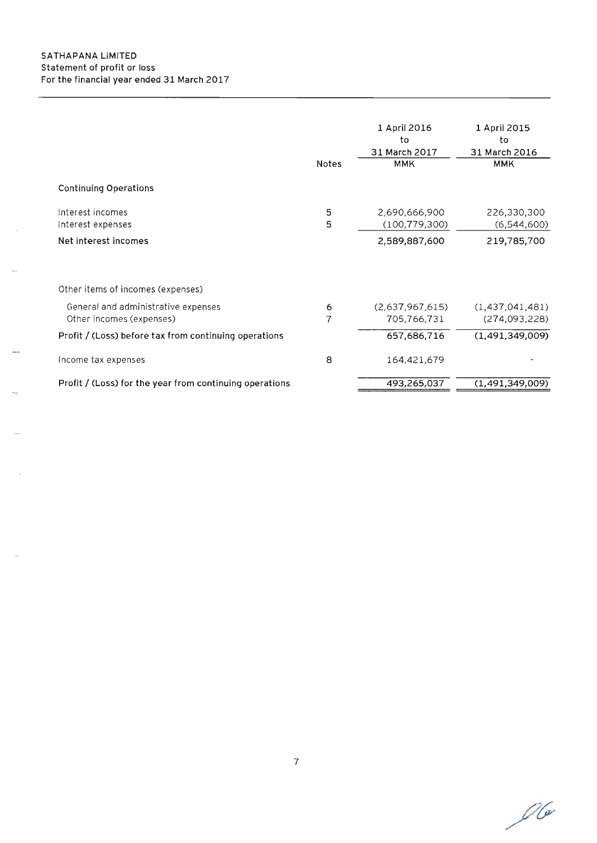|                                                                 | <b>Notes</b> | 1 April 2016<br>to<br>31 March 2017<br><b>MMK</b> | 1 April 2015<br>to<br>31 March 2016<br><b>MMK</b> |
|-----------------------------------------------------------------|--------------|---------------------------------------------------|---------------------------------------------------|
| <b>Continuing Operations</b>                                    |              |                                                   |                                                   |
| Interest incomes<br>Interest expenses                           | 5<br>5       | 2,690,666,900<br>(100, 779, 300)                  | 226,330,300<br>(6,544,600)                        |
| Net interest incomes                                            |              | 2,589,887,600                                     | 219,785,700                                       |
| Other items of incomes (expenses)                               |              |                                                   |                                                   |
| General and administrative expenses<br>Other incomes (expenses) | 6<br>7       | (2,637,967,615)<br>705,766,731                    | (1,437,041,481)<br>(274,093,228)                  |
| Profit / (Loss) before tax from continuing operations           |              | 657,686,716                                       | (1, 491, 349, 009)                                |
| Income tax expenses                                             | 8            | 164,421,679                                       |                                                   |
| Profit / (Loss) for the year from continuing operations         |              | 493,265,037                                       | (1,491,349,009)                                   |

 $\mathscr{O}(\alpha)$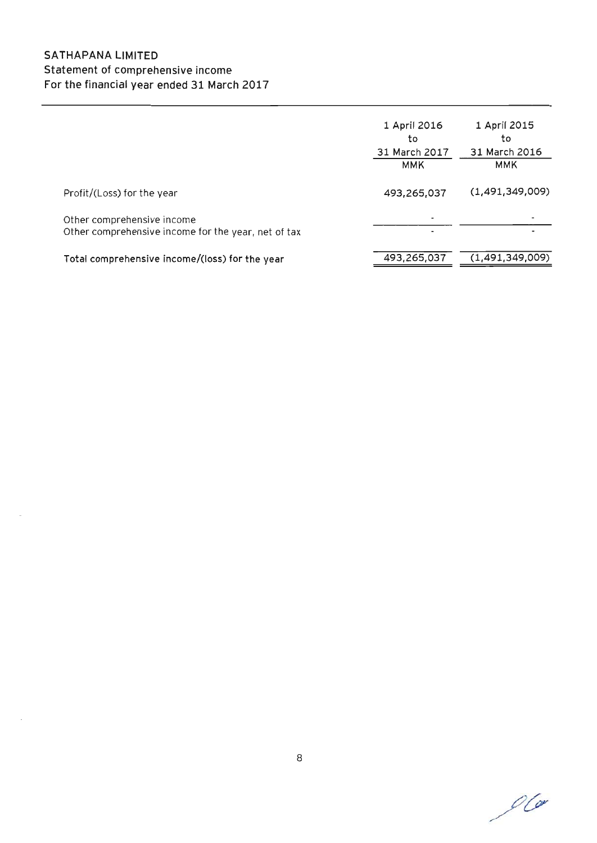# SATHAPANA LIMITED Statement of comprehensive income For the financial year ended 31 March 2017

|                                                                                   | 1 April 2016<br>to<br>31 March 2017<br>ммк | 1 April 2015<br>to<br>31 March 2016<br>MMK |
|-----------------------------------------------------------------------------------|--------------------------------------------|--------------------------------------------|
| Profit/(Loss) for the year                                                        | 493,265,037                                | (1,491,349,009)                            |
| Other comprehensive income<br>Other comprehensive income for the year, net of tax | ٠                                          |                                            |
| Total comprehensive income/(loss) for the year                                    | 493,265,037                                | (1, 491, 349, 009)                         |

 $O$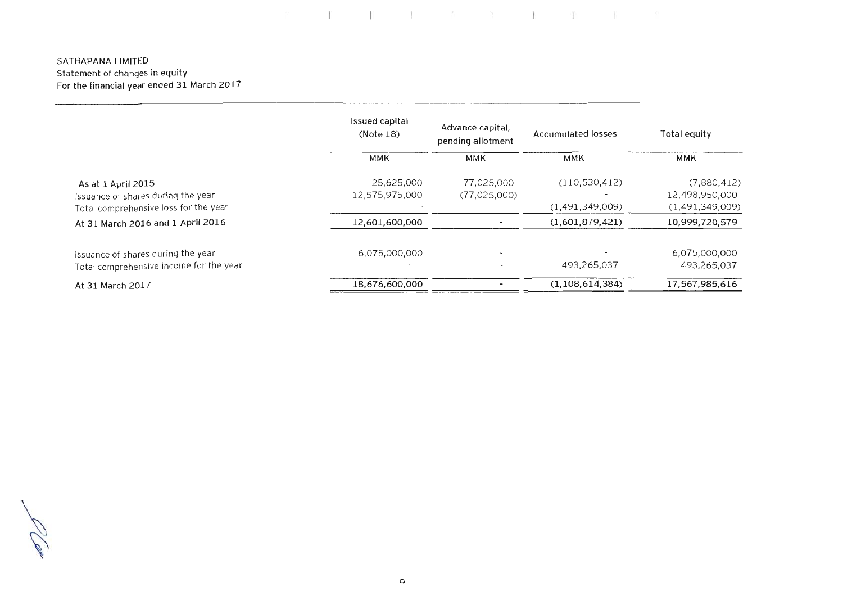# 

### SATHAPANA LIMITED statement of changes in equity For the financial year ended 31 March 2017

|                                         | Issued capital<br>Advance capital.<br>(Note 18)<br>pending allotment |              | Accumulated losses | Total equity    |  |
|-----------------------------------------|----------------------------------------------------------------------|--------------|--------------------|-----------------|--|
|                                         | <b>MMK</b>                                                           | <b>MMK</b>   | MMK                | ммк             |  |
| As at 1 April 2015                      | 25,625,000                                                           | 77,025,000   | (110, 530, 412)    | (7,880,412)     |  |
| Issuance of shares during the year      | 12,575,975,000                                                       | (77,025,000) |                    | 12,498,950,000  |  |
| Total comprehensive loss for the year   |                                                                      |              | (1,491,349,009)    | (1,491,349,009) |  |
| At 31 March 2016 and 1 April 2016       | 12,601,600,000                                                       |              | (1,601,879,421)    | 10,999,720,579  |  |
| Issuance of shares during the year      | 6,075,000,000                                                        |              |                    | 6,075,000,000   |  |
| Total comprehensive income for the year |                                                                      |              | 493,265,037        | 493,265,037     |  |
| At 31 March 2017                        | 18,676,600,000                                                       |              | (1, 108, 614, 384) | 17,567,985,616  |  |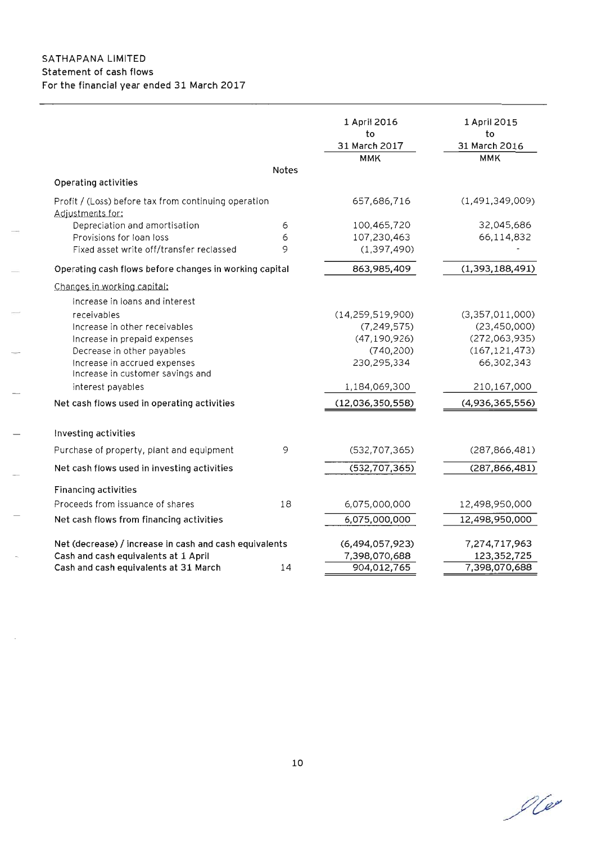# SATHAPANA LIMITED Statement of cash flows For the financial year ended 31 March 2017

|                                                                          |       | 1 April 2016<br>to<br>31 March 2017 | 1 April 2015<br>to<br>31 March 2016 |
|--------------------------------------------------------------------------|-------|-------------------------------------|-------------------------------------|
|                                                                          | Notes | <b>MMK</b>                          | <b>MMK</b>                          |
| Operating activities                                                     |       |                                     |                                     |
|                                                                          |       | 657,686,716                         | (1,491,349,009)                     |
| Profit / (Loss) before tax from continuing operation<br>Adjustments for: |       |                                     |                                     |
| Depreciation and amortisation                                            | 6     | 100,465,720                         | 32,045,686                          |
| Provisions for loan loss                                                 | 6     | 107,230,463                         | 66,114,832                          |
| Fixed asset write off/transfer reclassed                                 | 9     | (1, 397, 490)                       |                                     |
| Operating cash flows before changes in working capital                   |       | 863,985,409                         | (1,393,188,491)                     |
| Changes in working capital:                                              |       |                                     |                                     |
| Increase in loans and interest                                           |       |                                     |                                     |
| receivables                                                              |       | (14, 259, 519, 900)                 | (3,357,011,000)                     |
| Increase in other receivables                                            |       | (7, 249, 575)                       | (23, 450, 000)                      |
| Increase in prepaid expenses                                             |       | (47, 190, 926)                      | (272,063,935)                       |
| Decrease in other payables                                               |       | (740, 200)                          | (167, 121, 473)                     |
| Increase in accrued expenses                                             |       | 230,295,334                         | 66,302,343                          |
| Increase in customer savings and                                         |       |                                     |                                     |
| interest payables                                                        |       | 1,184,069,300                       | 210,167,000                         |
| Net cash flows used in operating activities                              |       | (12,036,350,558)                    | (4,936,365,556)                     |
| Investing activities                                                     |       |                                     |                                     |
| Purchase of property, plant and equipment                                | 9     | (532, 707, 365)                     | (287, 866, 481)                     |
| Net cash flows used in investing activities                              |       | (532, 707, 365)                     | (287, 866, 481)                     |
| <b>Financing activities</b>                                              |       |                                     |                                     |
| Proceeds from issuance of shares                                         | 18    | 6,075,000,000                       | 12,498,950,000                      |
| Net cash flows from financing activities                                 |       | 6,075,000,000                       | 12,498,950,000                      |
| Net (decrease) / increase in cash and cash equivalents                   |       | (6,494,057,923)                     | 7,274,717,963                       |
| Cash and cash equivalents at 1 April                                     |       | 7,398,070,688                       | 123,352,725                         |
| Cash and cash equivalents at 31 March                                    | 14    | 904,012,765                         | 7,398,070,688                       |

 $\mathscr{O}(\mathscr{Q})$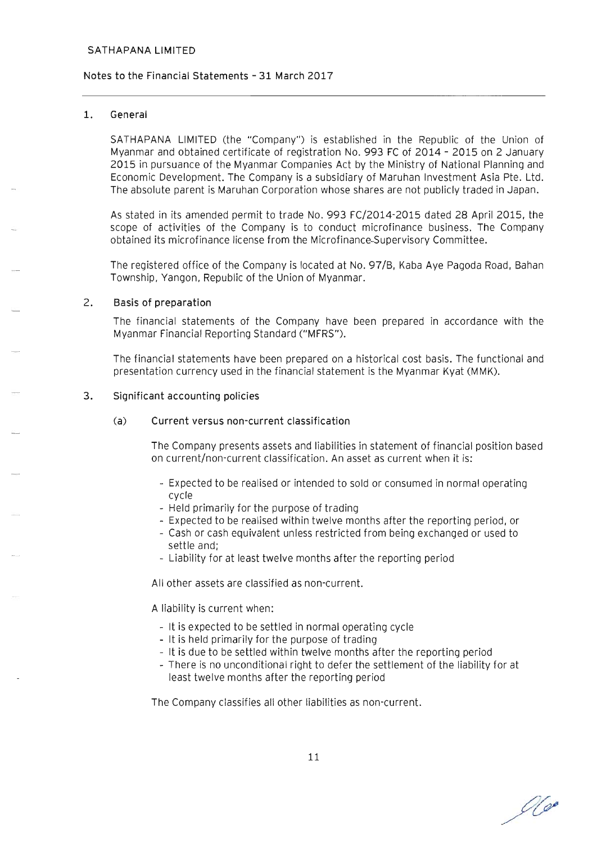### Notes to the Financial statements - 31 March 2017

### 1. General

SATHAPANA LIMITED (the "Company") is established in the Republic of the Union of Myanmar and obtained certificate of registration No. 993 FC of 2014 - 2015 on 2 January 2015 in pursuance of the Myanmar Companies Act by the Ministry of National Planning and Economic Development. The Company is a subsidiary of Maruhan Investment Asia Pte. Ltd. The absolute parent is Maruhan Corporation whose shares are not publicly traded in Japan.

As stated in its amended permit to trade No. 993 FC/2014-2015 dated 28 April 2015, the scope of activities of the Company is to conduct microfinance business. The Company obtained its microfinance license from the Microfinance-Supervisory Committee.

The registered office of the Company is located at No. 97/B, Kaba Aye Pagoda Road, Bahan Township, Yangon, Republic of the Union of Myanmar.

#### 2. Basis of preparation

The financial statements of the Company have been prepared in accordance with the Myanmar Financial Reporting Standard ("MFRS").

The financial statements have been prepared on a historical cost basis. The functional and presentation currency used in the financial statement is the Myanmar Kyat (MMK).

#### 3. Significant accounting policies

### (a) Current versus non-current classification

The Company presents assets and liabilities in statement of financial position based on current/non-current classification. An asset as current when it is:

- Expected to be realised or intended to sold or consumed in normal operating cycle
- Held primarily for the purpose of trading
- Expected to be realised within twelve months after the reporting period, or
- Cash or cash equivalent unless restricted from being exchanged or used to settle and;
- Liability for at least twelve months after the reporting period

All other assets are classified as non-current.

A liability is current when:

- It is expected to be settled in normal operating cycle
- It is held primarily for the purpose of trading
- It is due to be settled within twelve months after the reporting period
- There is no unconditional right to defer the settlement of the liability for at least twelve months after the reporting period

The Company classifies all other liabilities as non-current.

No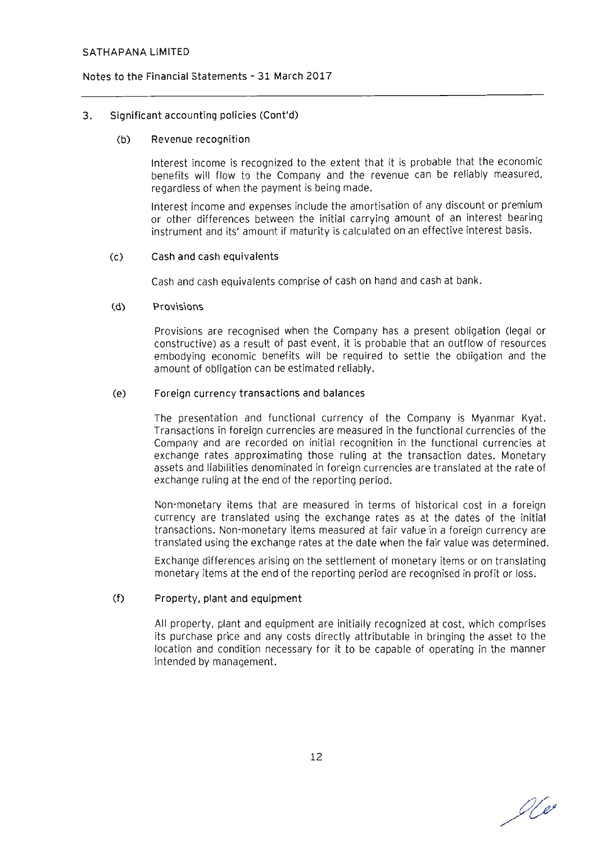#### Notes to the Financial statements - 31 March 2017

### 3. Significant accounting policies (Cont'd)

#### (b) Revenue recognition

Interest income is recognized to the extent that it is probable that the economic benefits will flow to the Company and the revenue can be reliably measured, regardless of when the payment is being made.

Interest income and expenses include the amortisation of any discount or premium or other differences between the initial carrying amount of an interest bearing instrument and its' amount if maturity is calculated on an effective interest basis.

#### (c) Cash and cash equivalents

Cash and cash equivalents comprise of cash on hand and cash at bank.

#### (d) Provisions

Provisions are recognised when the Company has a present obligation (legal or constructive) as a result of past event, it is probable that an outflow of resources embodying economic benefits will be required to settle the obligation and the amount of obligation can be estimated reliably.

#### (e) Foreign currency transactions and balances

The presentation and functional currency of the Company is Myanmar Kyat. Transactions in foreign currencies are measured in the functional currencies of the Company and are recorded on initial recognition in the functional currencies at exchange rates approximating those ruling at the transaction dates. Monetary assets and liabilities denominated in foreign currencies are translated at the rate of exchange ruling at the end of the reporting period.

Non-monetary items that are measured in terms of historical cost in a foreign currency are translated using the exchange rates as at the dates of the initial transactions. Non-monetary items measured at fair value in a foreign currency are translated using the exchange rates at the date when the fair value was determined.

Exchange differences arising on the settlement of monetary items or on translating monetary items at the end of the reporting period are recognised in profit or loss.

### (f) Property, plant and equipment

All property, plant and equipment are initially recognized at cost, which comprises its purchase price and any costs directly attributable in bringing the asset to the location and condition necessary for it to be capable of operating in the manner intended by management.

 $O(e)$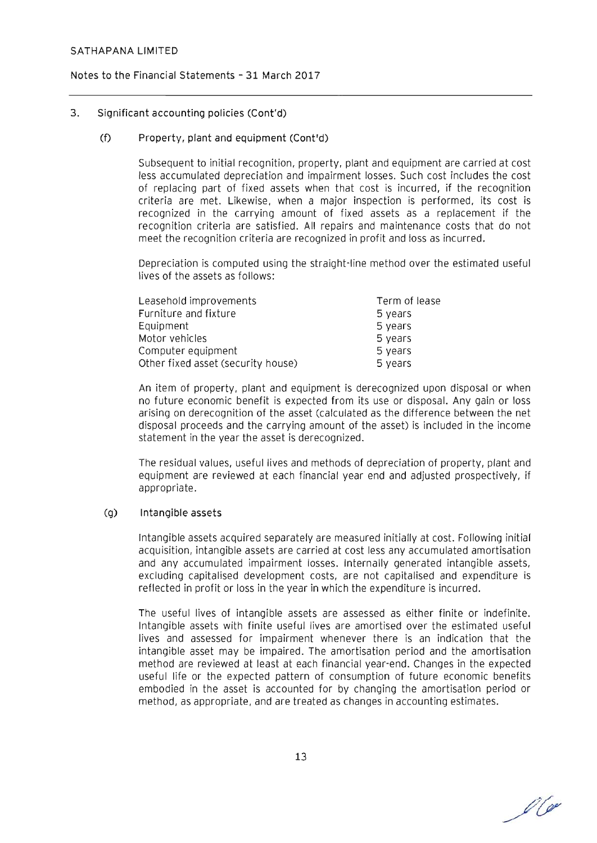### Notes to the Financial statements - 31 March 2017

### 3. Significant accounting policies (Cont'd)

### (f) Property, plant and equipment (Cont'd)

Subsequent to initial recognition, property. plant and equipment are carried at cost less accumulated depreciation and impairment losses. Such cost includes the cost of replacing part of fixed assets when that cost is incurred. if the recognition criteria are met. Likewise, when a major inspection is performed. its cost is recognized in the carrying amount of fixed assets as a replacement if the recognition criteria are satisfied. All repairs and maintenance costs that do not meet the recognition criteria are recognized in profit and loss as incurred.

Depreciation is computed using the straight-line method over the estimated useful lives of the assets as follows:

| Leasehold improvements             | Term of lease |
|------------------------------------|---------------|
| Furniture and fixture              | 5 years       |
| Equipment                          | 5 years       |
| Motor vehicles                     | 5 years       |
| Computer equipment                 | 5 years       |
| Other fixed asset (security house) | 5 years       |

An item of property, plant and equipment is derecognized upon disposal or when no future economic benefit is expected from its use or disposal. Any gain or loss arising on derecognition of the asset (calculated as the difference between the net disposal proceeds and the carrying amount of the asset) is included in the income statement in the year the asset is derecognized.

The residual values. useful lives and methods of depreciation of property. plant and equipment are reviewed at each financial year end and adjusted prospectively. if appropriate.

### (g) Intangible assets

Intangible assets acquired separately are measured initially at cost. Following initial acquisition, intangible assets are carried at cost less any accumulated amortisation and any accumulated impairment losses. Internally generated intangible assets, excluding capitalised development costs. are not capitalised and expenditure is reflected in profit or loss in the year in which the expenditure is incurred.

The useful lives of intangible assets are assessed as either finite or indefinite. Intangible assets with finite useful lives are amortised over the estimated useful lives and assessed for impairment whenever there is an indication that the intangible asset may be impaired. The amortisation period and the amortisation method are reviewed at least at each financial year-end. Changes in the expected useful life or the expected pattern of consumption of future economic benefits embodied in the asset is accounted for by changing the amortisation period or method, as appropriate. and are treated as changes in accounting estimates.

00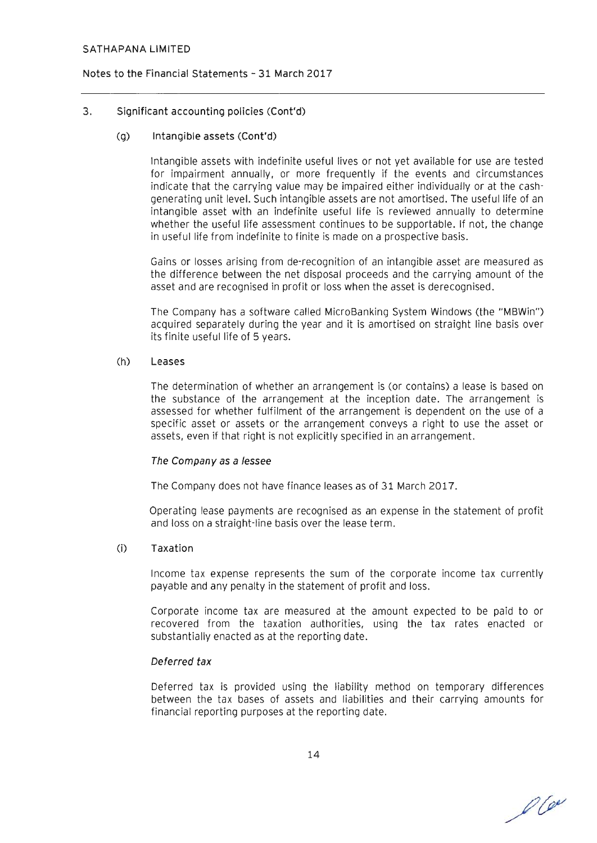### Notes to the Financial Statements - 31 March 2017

### 3. Significant accounting policies (Cont'd)

### (g) Intangible assets (Cont'd)

Intangible assets with indefinite useful lives or not yet available for use are tested for impairment annually, or more frequently if the events and circumstances indicate that the carrying value may be impaired either individually or at the cashgenerating unit level. Such intangible assets are not amortised. The useful life of an intangible asset with an indefinite useful life is reviewed annually to determine whether the useful life assessment continues to be supportable. If not, the change in useful life from indefinite to finite is made on a prospective basis.

Gains or losses arising from de-recognition of an intangible asset are measured as the difference between the net disposal proceeds and the carrying amount of the asset and are recognised in profit or loss when the asset is derecognised.

The Company has a software called MicroBanking System Windows (the "MBWin") acquired separately during the year and it is amortised on straight line basis over its finite useful life of 5 years.

### (h) Leases

The determination of whether an arrangement is (or contains) a lease is based on the substance of the arrangement at the inception date. The arrangement is assessed for whether fulfilment of the arrangement is dependent on the use of a specific asset or assets or the arrangement conveys a right to use the asset or assets, even if that right is not explicitly specified in an arrangement.

### The Company as a Jessee

The Company does not have finance leases as of 31 March 2017.

Operating lease payments are recognised as an expense in the statement of profit and loss on a straight-line basis over the lease term.

### (i) Taxation

Income tax expense represents the sum of the corporate income tax currently payable and any penalty in the statement of profit and loss.

Corporate income tax are measured at the amount expected to be paid to or recovered from the taxation authorities, using the tax rates enacted or substantially enacted as at the reporting date.

### Deferred tax

Deferred tax is provided using the liability method on temporary differences between the tax bases of assets and liabilities and their carrying amounts for financial reporting purposes at the reporting date.

 $100$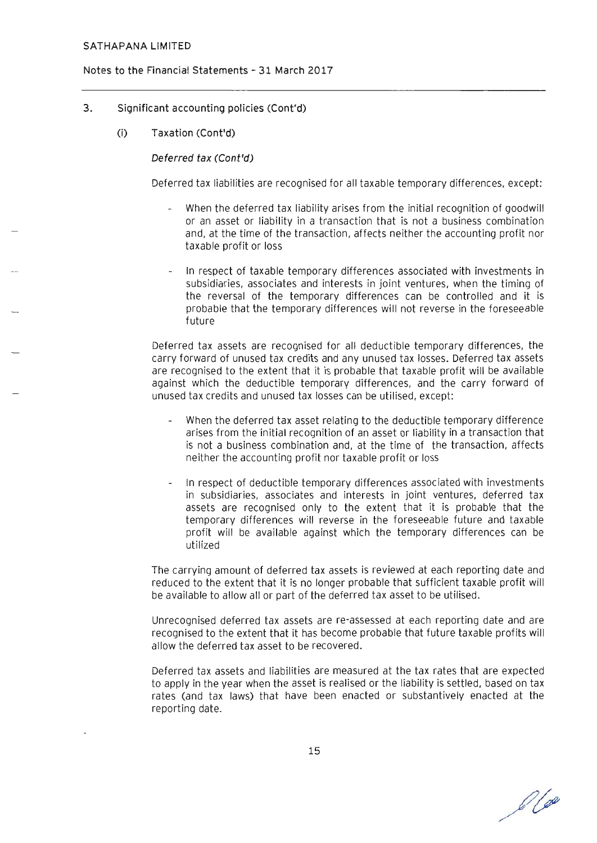#### Notes to the Financial Statements - 31 March 2017

### 3. Significant accounting policies (Cont'd)

(i) Taxation (Cont'd)

#### Deferred tax (Cont'd)

Deferred tax liabilities are recognised for all taxable temporary differences, except:

- When the deferred tax liability arises from the initial recognition of goodwill or an asset or liability in a transaction that is not a business combination and, at the time of the transaction, affects neither the accounting profit nor taxable profit or loss
- In respect of taxable temporary differences associated with investments in subsidiaries, associates and interests in joint ventures, when the timing of the reversal of the temporary differences can be controlled and it is probable that the temporary differences will not reverse in the foreseeable future

Deferred tax assets are recognised for all deductible temporary differences, the carry forward of unused tax credits and any unused tax losses. Deferred tax assets are recognised to the extent that it is probable that taxable profit will be available against which the deductible temporary differences, and the carry forward of unused tax credits and unused tax losses can be utilised, except:

- When the deferred tax asset relating to the deductible temporary difference arises from the initial recognition of an asset or liability in a transaction that is not a business combination and, at the time of the transaction, affects neither the accounting profit nor taxable profit or loss
- In respect of deductible temporary differences associated with investments in subsidiaries, associates and interests in joint ventures, deferred tax assets are recognised only to the extent that it is probable that the temporary differences will reverse in the foreseeable future and taxable profit will be available against which the temporary differences can be utilized

The carrying amount of deferred tax assets is reviewed at each reporting date and reduced to the extent that it is no longer probable that sufficient taxable profit will be available to allow all or part of the deferred tax asset to be utilised.

Unrecognised deferred tax assets are re-assessed at each reporting date and are recognised to the extent that it has become probable that future taxable profits will allow the deferred tax asset to be recovered.

Deferred tax assets and liabilities are measured at the tax rates that are expected to apply in the year when the asset is realised or the liability is settled, based on tax rates (and tax laws) that have been enacted or substantively enacted at the reporting date.

 $\ell$ lo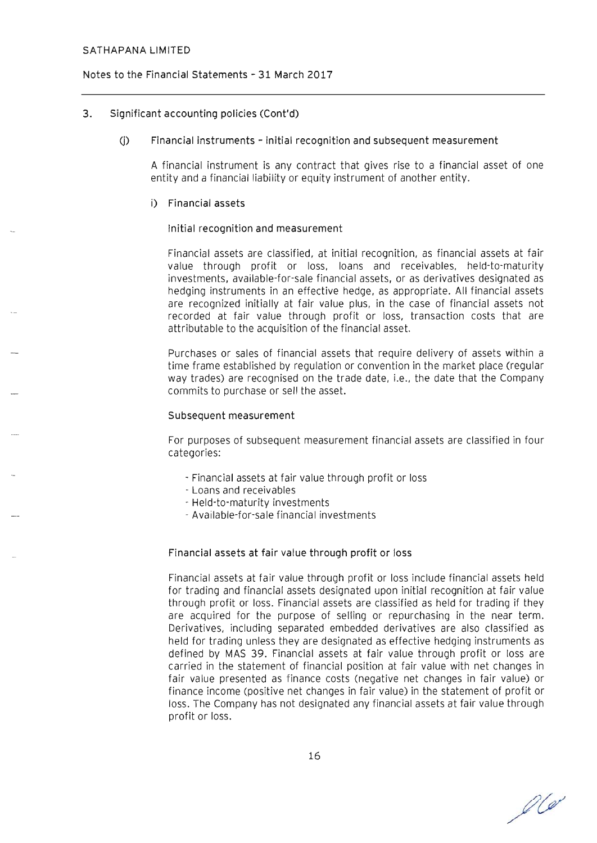### Notes to the Financial Statements - 31 March 2017

### 3. Significant accounting policies (Cont'd)

#### (j) Financial instruments - initial recognition and subsequent measurement

A financial instrument is any contract that gives rise to a financial asset of one entity and a financial liability or equity instrument of another entity.

#### i) Financial assets

#### Initial recognition and measurement

Financial assets are classified, at initial recognition, as financial assets at fair value through profit or loss, loans and receivables, held-to-maturity investments, available-for-sale financial assets, or as derivatives designated as hedging instruments in an effective hedge, as appropriate. All financial assets are recognized initially at fair value plus, in the case of financial assets not recorded at fair value through profit or loss, transaction costs that are attributable to the acquisition of the financial asset.

Purchases or sales of financial assets that require delivery of assets within a time frame established by regulation or convention in the market place (regular way trades) are recognised on the trade date, i.e., the date that the Company commits to purchase or sell the asset.

#### Subsequent measurement

For purposes of subsequent measurement financial assets are classified in four categories:

- Financial assets at fair value through profit or loss
- Loans and receivables
- Held-to-maturity investments
- Available-for-sale financial investments

#### Financial assets at fair value through profit or loss

Financial assets at fair value through profit or loss include financial assets held for trading and financial assets designated upon initial recognition at fair value through profit or loss. Financial assets are classified as held for trading if they are acquired for the purpose of selling or repurchasing in the near term. Derivatives, including separated embedded derivatives are also classified as held for trading unless they are designated as effective hedging instruments as defined by MAS 39. Financial assets at fair value through profit or loss are carried in the statement of financial position at fair value with net changes in fair value presented as finance costs (negative net changes in fair value) or finance income (positive net changes in fair value) in the statement of profit or loss. The Company has not designated any financial assets at fair value through profit or loss.

 $\mathscr{D}(\mathscr{A})$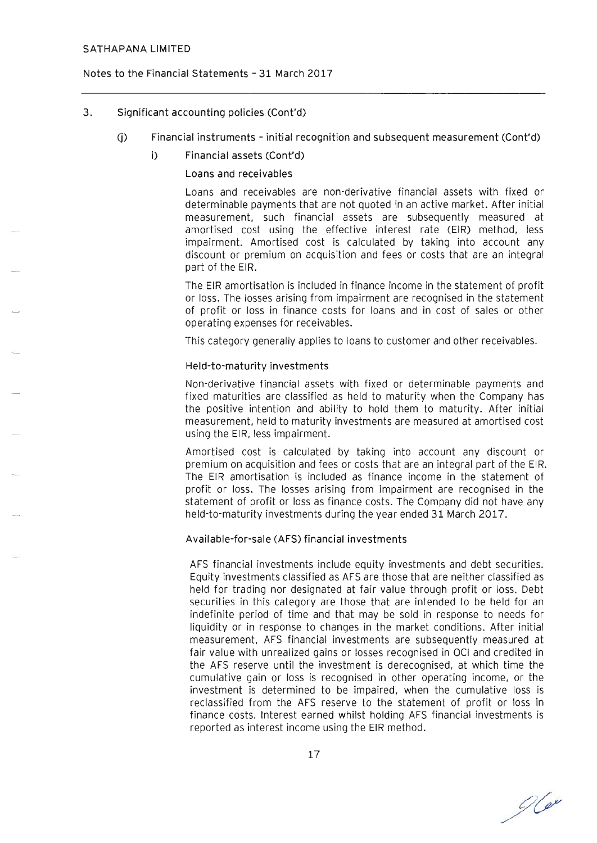### Notes to the Financial Statements - 31 March 2017

## 3. Significant accounting policies (Cont'd)

- (j) Financial instruments initial recognition and subsequent measurement (Cont'd)
	- i) Financial assets (Cont'd)

### Loans and receivables

Loans and receivables are non-derivative financial assets with fixed or determinable payments that are not quoted in an active market. After initial measurement, such financial assets are subsequently measured at amortised cost using the effective interest rate (EIR) method, less impairment. Amortised cost is calculated by taking into account any discount or premium on acquisition and fees or costs that are an integral part of the EIR.

The EIR amortisation is included in finance income in the statement of profit or loss. The losses arising from impairment are recognised in the statement of profit or loss in finance costs for loans and in cost of sales or other operating expenses for receivables.

This category generally applies to loans to customer and other receivables.

### Held-to-maturity investments

Non-derivative financial assets with fixed or determinable payments and fixed maturities are classified as held to maturity when the Company has the positive intention and ability to hold them to maturity. After initial measurement, held to maturity investments are measured at amortised cost using the EIR, less impairment.

Amortised cost is calculated by taking into account any discount or premium on acquisition and fees or costs that are an integral part of the EIR. The EIR amortisation is included as finance income in the statement of profit or loss. The losses arising from impairment are recognised in the statement of profit or loss as finance costs. The Company did not have any held-to-maturity investments during the year ended 31 March 2017.

### Available-for-sale (AFS) financial investments

AFS financial investments include equity investments and debt securities. Equity investments classified as AFS are those that are neither classified as held for trading nor designated at fair value through profit or ioss. Debt securities in this category are those that are intended to be held for an indefinite period of time and that may be sold in response to needs for liquidity or in response to changes in the market conditions. After initial measurement, AFS financial investments are subsequently measured at fair value with unrealized gains or losses recognised in OCI and credited in the AFS reserve until the investment is derecognised, at which time the cumulative gain or loss is recognised in other operating income, or the investment is determined to be impaired, when the cumulative loss is reclassified from the AFS reserve to the statement of profit or loss in finance costs. Interest earned whilst holding AFS financial investments is reported as interest income using the EIR method.

 $O(e^{\nu})$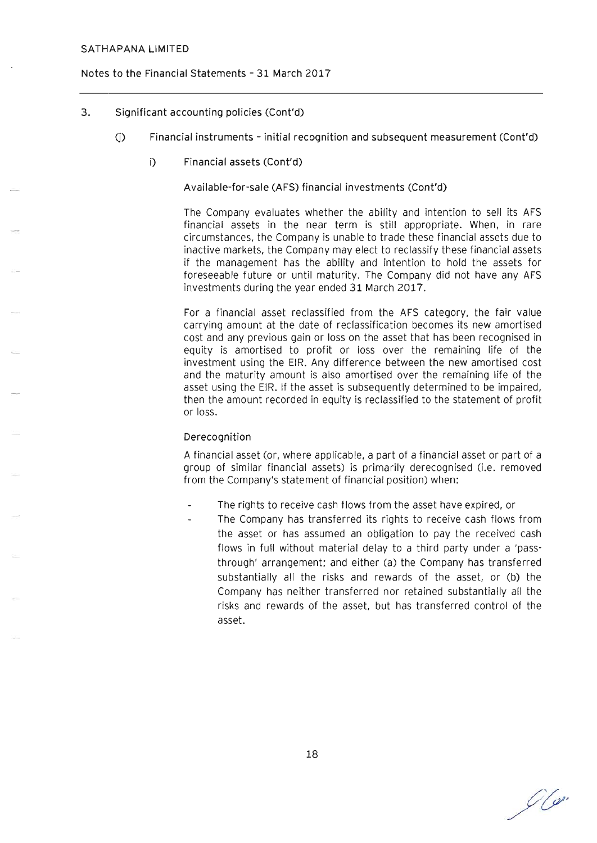### Notes to the Financial Statements - 31 March 2017

- 3. Significant accounting policies (Cont'd)
	- (j) Financial instruments initial recognition and subsequent measurement (Cont'd)
		- i) Financial assets (Cont'd)

Available-for-sale (AFS) financial investments (Cont'd)

The Company evaluates whether the ability and intention to sell its AFS financial assets in the near term is still appropriate. When, in rare circumstances, the Company is unable to trade these financial assets due to inactive markets, the Company may elect to reclassify these financial assets if the management has the ability and intention to hold the assets for foreseeable future or until maturity. The Company did not have any AFS investments during the year ended 31 March 2017.

For a financial asset reclassified from the AFS category, the fair value carrying amount at the date of reclassification becomes its new amortised cost and any previous gain or loss on the asset that has been recognised in equity is amortised to profit or loss over the remaining life of the investment using the EIR. Any difference between the new amortised cost and the maturity amount is also amortised over the remaining life of the asset using the EIR. If the asset is subsequently determined to be impaired, then the amount recorded in equity is reclassified to the statement of profit or loss.

### Derecognition

A financial asset (or, where applicable, a part of a financial asset or part of a group of similar financial assets) is primarily derecognised (i.e. removed from the Company's statement of financial position) when:

- The rights to receive cash flows from the asset have expired, or
	- The Company has transferred its rights to receive cash flows from the asset or has assumed an obligation to pay the received cash flows in full without material delay to a third party under a 'pass· through' arrangement; and either (a) the Company has transferred substantially all the risks and rewards of the asset, or (b) the Company has neither transferred nor retained substantially all the risks and rewards of the asset, but has transferred control of the asset.

 $O(\alpha$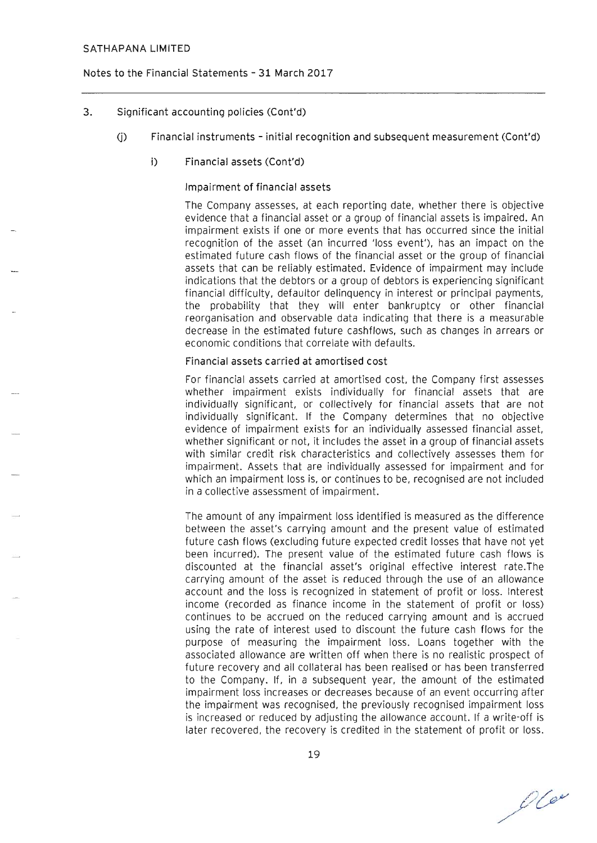### Notes to the Financial Statements - 31 March 2017

## 3. Significant accounting policies (Cont'd)

- (j) Financial instruments initial recognition and subsequent measurement (Cont'd)
	- i) Financial assets (Cont'd)

### Impairment of financial assets

The Company assesses, at each reporting date, whether there is objective evidence that a financial asset or a group of financial assets is impaired. An impairment exists if one or more events that has occurred since the initial recognition of the asset (an incurred 'loss event'), has an impact on the estimated future cash flows of the financial asset or the group of financial assets that can be reliably estimated. Evidence of impairment may include indications that the debtors or a group of debtors is experiencing significant financial difficulty, defaultor delinquency in interest or principal payments, the probability that they will enter bankruptcy or other financial reorganisation and observable data indicating that there is a measurable decrease in the estimated future cashflows, such as changes in arrears or economic conditions that correlate with defaults.

#### Financial assets carried at amortised cost

For financial assets carried at amortised cost, the Company first assesses whether impairment exists individually for financial assets that are individually significant, or collectively for financial assets that are not individually significant. If the Company determines that no objective evidence of impairment exists for an individually assessed financial asset, whether significant or not, it includes the asset in a group of financial assets with similar credit risk characteristics and collectively assesses them for impairment. Assets that are individually assessed for impairment and for which an impairment loss is, or continues to be, recognised are not included in a collective assessment of impairment.

The amount of any impairment loss identified is measured as the difference between the asset's carrying amount and the present value of estimated future cash flows (excluding future expected credit losses that have not yet been incurred). The present value of the estimated future cash flows is discounted at the financial asset's original effective interest rate.The carrying amount of the asset is reduced through the use of an allowance account and the loss is recognized in statement of profit or loss. Interest income (recorded as finance income in the statement of profit or loss) continues to be accrued on the reduced carrying amount and is accrued using the rate of interest used to discount the future cash flows for the purpose of measuring the impairment loss. Loans together with the associated allowance are written off when there is no realistic prospect of future recovery and all collateral has been realised or has been transferred to the Company. If, in a subsequent year, the amount of the estimated impairment loss increases or decreases because of an event occurring after the impairment was recognised , the previously recognised impairment loss is increased or reduced by adjusting the allowance account. If a write-off is later recovered, the recovery is credited in the statement of profit or loss.

 $O(e^{\omega})$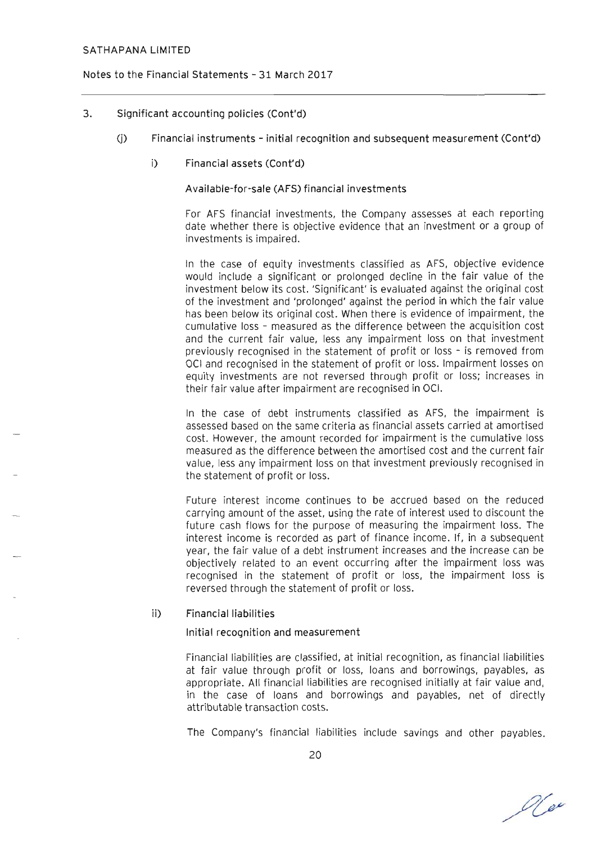#### Notes to the Financial Statements - 31 March 2017

### 3. Significant accounting policies (Cont'd)

- (j) Financial instruments initial recognition and subsequent measurement (Cont'd)
	- i) Financial assets (Cont'd)

Available-for-sale (AFS) financial investments

For AFS financial investments, the Company assesses at each reporting date whether there is objective evidence that an investment or a group of investments is impaired.

In the case of equity investments classified as AFS, objective evidence would include a significant or prolonged decline in the fair value of the investment below its cost. 'Significant' is evaluated against the original cost of the investment and 'prolonged' against the period in which the fair value has been below its original cost. When there is evidence of impairment, the cumulative loss - measured as the difference between the acquisition cost and the current fair value, less any impairment loss on that investment previously recognised in the statement of profit or loss - is removed from OCI and recognised in the statement of profit or loss. Impairment losses on equity investments are not reversed through profit or loss; increases in their fair value after impairment are recognised in OCI.

In the case of debt instruments classified as AFS, the impairment is assessed based on the same criteria as financial assets carried at amortised cost. However, the amount recorded for impairment is the cumulative loss measured as the difference between the amortised cost and the current fair value, less any impairment loss on that investment previously recognised in the statement of profit or loss.

Future interest income continues to be accrued based on the reduced carrying amount of the asset, using the rate of interest used to discount the future cash flows for the purpose of measuring the impairment loss. The interest income is recorded as part of finance income. If, in a subsequent year, the fair value of a debt instrument increases and the increase can be objectively related to an event occurring after the impairment loss was recognised in the statement of profit or loss, the impairment loss is reversed through the statement of profit or loss.

#### ii) Financial liabilities

#### Initial recognition and measurement

Financial liabilities are classified, at initial recognition, as financial liabilities at fair value through profit or loss, loans and borrowings, payables, as appropriate. All financial liabilities are recognised initially at fair value and, in the case of loans and borrowings and payables, net of directly attributable transaction costs.

The Company's financial liabilities include savings and other payables.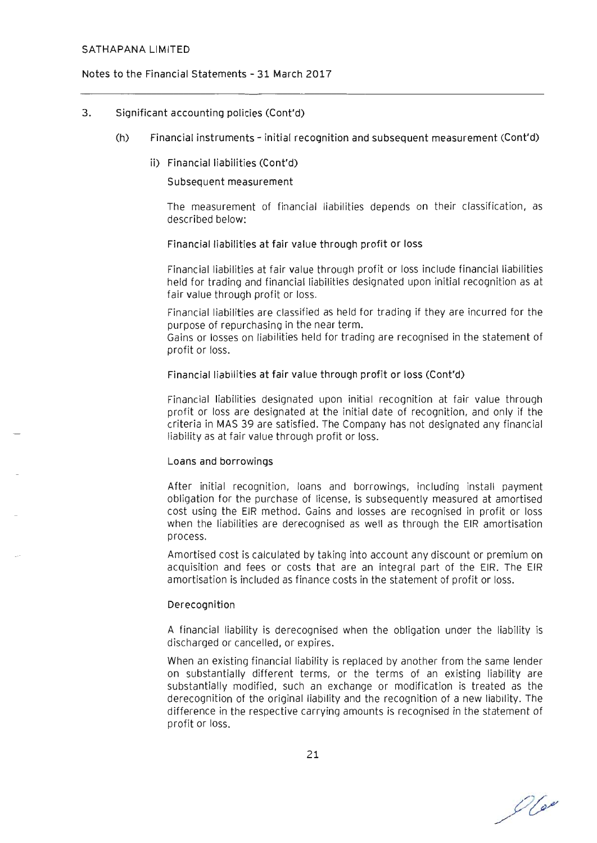### Notes to the Financial Statements - 31 March 2017

#### 3. Significant accounting policies (Cont'd)

- (h) Financial instruments initial recognition and subsequent measurement (Cont'd)
	- ii) Financial liabilities (Cont'd)

#### Subsequent measurement

The measurement of financial liabilities depends on their classification, as described below:

#### Financial liabilities at fair value through profit or loss

Financial liabilities at fair value through profit or loss include financial liabilities held for trading and financial liabilities designated upon initial recognition as at fair value through profit or loss.

Financial liabilities are classified as held for trading if they are incurred for the purpose of repurchasing in the near term.

Gains or losses on liabilities held for trading are recognised in the statement of profit or loss.

#### Financial liabilities at fair value through profit or loss (Cont'd)

Financial liabilities designated upon initial recognition at fair value through profit or loss are designated at the initial date of recognition, and only if the criteria in MAS 39 are satisfied. The Company has not designated any financial liability as at fair value through profit or loss.

#### Loans and borrowings

After initial recognition, loans and borrowings, including install payment obligation for the purchase of license, is subsequently measured at amortised cost using the EIR method. Gains and losses are recognised in profit or loss when the liabilities are derecognised as well as through the EIR amortisation process.

Amortised cost is calculated by taking into account any discount or premium on acquisition and fees or costs that are an integral part of the EIR. The EIR amortisation is included as finance costs in the statement of profit or loss.

#### Derecognition

A financial liability is derecognised when the obligation under the liability is discharged or cancelled, or expires.

When an existing financial liability is replaced by another from the same lender on substantially different terms, or the terms of an existing liability are substantially modified, such an exchange or modification is treated as the derecognition of the original liability and the recognition of a new liability. The difference in the respective carrying amounts is recognised in the statement of profit or loss.

21

 $O(\omega)$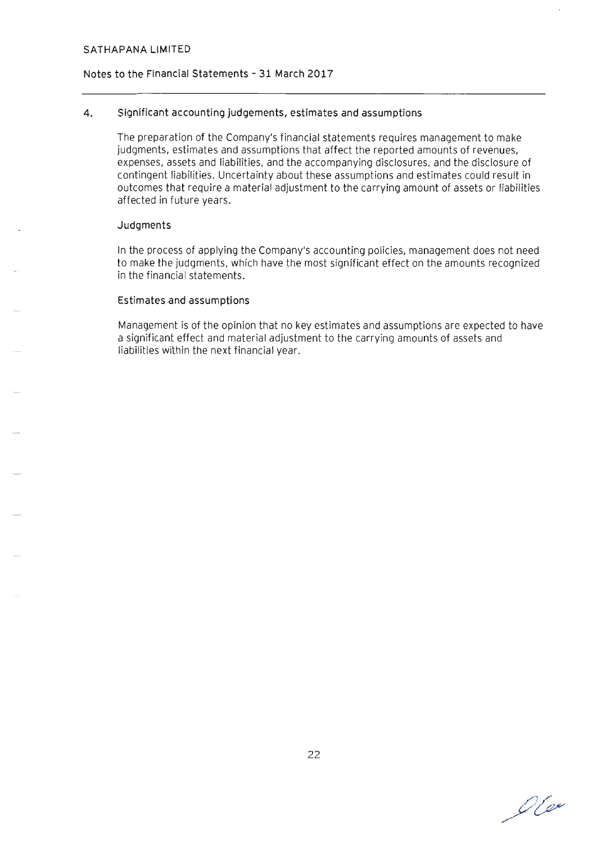### **Notes to the Financial Statements - 31 March 2017**

### **4. Significant accounting judgements, estimates and assumptions**

The preparation of the Company's financial statements requires management to make judgments, estimates and assumptions that affect the reported amounts of revenues, expenses, assets and liabilities, and the accompanying disclosures, and the disclosure of contingent liabilities. Uncertainty about these assumptions and estimates could result in outcomes that require a material adjustment to the carrying amount of assets or liabilities affected in future years.

#### **Judgments**

In the process of applying the Company's accounting policies, management does not need to make the judgments, which have the most significant effect on the amounts recognized in the financial statements.

#### **Estimates and assumptions**

Management is of the opinion that no key estimates and assumptions are expected to have a significant effect and material adjustment to the carrying amounts of assets and liabilities within the next financial year.

0600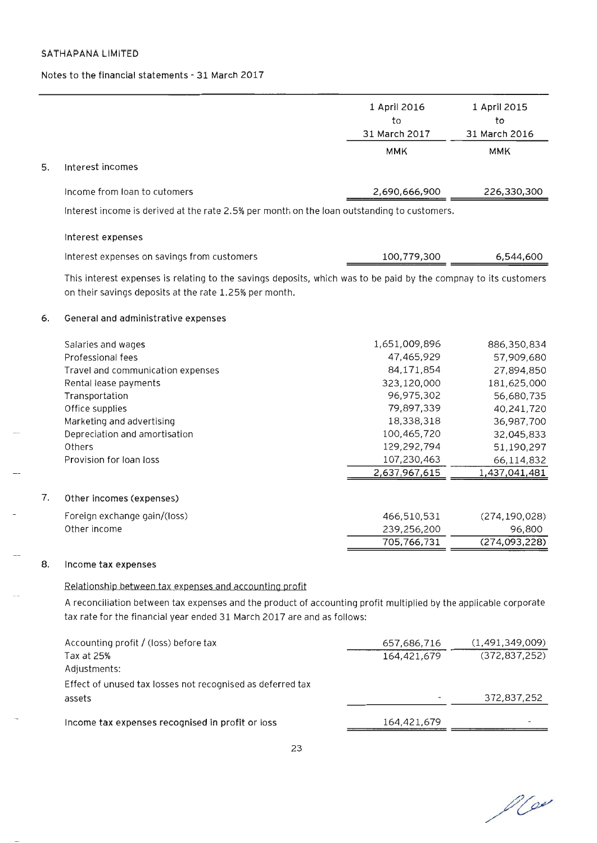$\sim$ 

### Notes to the financial statements - 31 March 2017

|    |                                                                                                                                                                                              | 1 April 2016<br>to<br>31 March 2017 | 1 April 2015<br>to<br>31 March 2016 |
|----|----------------------------------------------------------------------------------------------------------------------------------------------------------------------------------------------|-------------------------------------|-------------------------------------|
|    |                                                                                                                                                                                              | <b>MMK</b>                          | <b>MMK</b>                          |
| 5. | Interest incomes                                                                                                                                                                             |                                     |                                     |
|    | Income from Ioan to cutomers                                                                                                                                                                 | 2,690,666,900                       | 226,330,300                         |
|    | Interest income is derived at the rate 2.5% per month on the loan outstanding to customers.                                                                                                  |                                     |                                     |
|    | Interest expenses                                                                                                                                                                            |                                     |                                     |
|    | Interest expenses on savings from customers                                                                                                                                                  | 100,779,300                         | 6,544,600                           |
|    | This interest expenses is relating to the savings deposits, which was to be paid by the compnay to its customers<br>on their savings deposits at the rate 1.25% per month.                   |                                     |                                     |
| 6. | General and administrative expenses                                                                                                                                                          |                                     |                                     |
|    | Salaries and wages                                                                                                                                                                           | 1,651,009,896                       | 886,350,834                         |
|    | Professional fees                                                                                                                                                                            | 47,465,929                          | 57,909,680                          |
|    | Travel and communication expenses                                                                                                                                                            | 84,171,854                          | 27,894,850                          |
|    | Rental lease payments                                                                                                                                                                        | 323,120,000                         | 181,625,000                         |
|    | Transportation                                                                                                                                                                               | 96,975,302                          | 56,680,735                          |
|    | Office supplies                                                                                                                                                                              | 79,897,339                          | 40,241,720                          |
|    | Marketing and advertising                                                                                                                                                                    | 18,338,318                          | 36,987,700                          |
|    | Depreciation and amortisation                                                                                                                                                                | 100,465,720                         | 32,045,833                          |
|    | Others                                                                                                                                                                                       | 129,292,794                         | 51,190,297                          |
|    | Provision for loan loss                                                                                                                                                                      | 107,230,463                         | 66,114,832                          |
|    |                                                                                                                                                                                              | 2,637,967,615                       | 1,437,041,481                       |
| 7. | Other incomes (expenses)                                                                                                                                                                     |                                     |                                     |
|    | Foreign exchange gain/(loss)                                                                                                                                                                 | 466,510,531                         | (274, 190, 028)                     |
|    | Other income                                                                                                                                                                                 | 239,256,200                         | 96,800                              |
|    |                                                                                                                                                                                              | 705,766,731                         | (274,093,228)                       |
| 8. | Income tax expenses                                                                                                                                                                          |                                     |                                     |
|    | Relationship between tax expenses and accounting profit                                                                                                                                      |                                     |                                     |
|    | A reconciliation between tax expenses and the product of accounting profit multiplied by the applicable corporate<br>tax rate for the financial year ended 31 March 2017 are and as follows: |                                     |                                     |

| Accounting profit / (loss) before tax                      | 657,686,716 | (1,491,349,009) |
|------------------------------------------------------------|-------------|-----------------|
| Tax at 25%                                                 | 164,421,679 | (372, 837, 252) |
| Adjustments:                                               |             |                 |
| Effect of unused tax losses not recognised as deferred tax |             |                 |
| assets                                                     |             | 372,837,252     |
| Income tax expenses recognised in profit or loss           | 164,421,679 |                 |
|                                                            |             |                 |

 $100$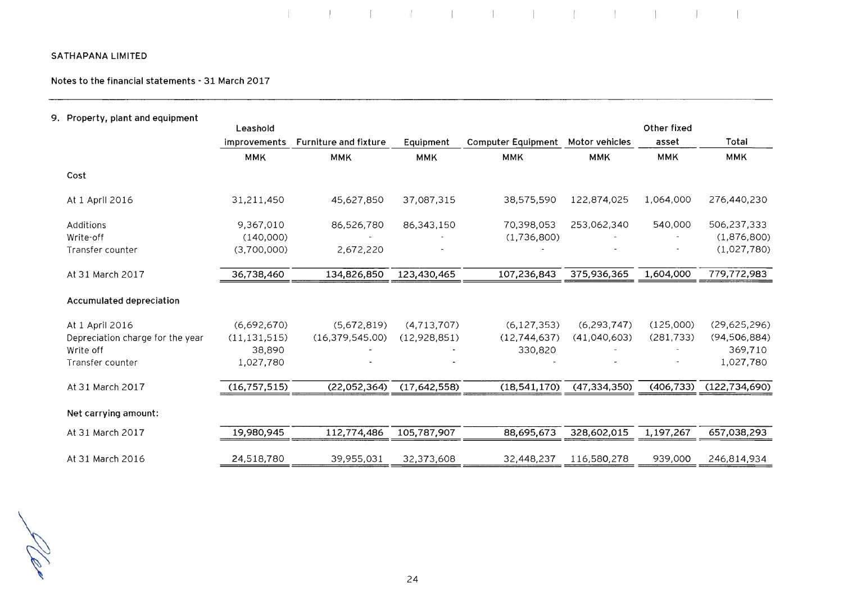**Notes to the financial statements - 31 March 2017** 

| Property, plant and equipment    |                |                              |              |                           |                |             |                 |
|----------------------------------|----------------|------------------------------|--------------|---------------------------|----------------|-------------|-----------------|
|                                  | Leashold       |                              |              |                           |                | Other fixed |                 |
|                                  | improvements   | <b>Furniture and fixture</b> | Equipment    | <b>Computer Equipment</b> | Motor vehicles | asset       | Total           |
|                                  | <b>MMK</b>     | <b>MMK</b>                   | <b>MMK</b>   | <b>MMK</b>                | <b>MMK</b>     | <b>MMK</b>  | <b>MMK</b>      |
| Cost                             |                |                              |              |                           |                |             |                 |
| At 1 April 2016                  | 31,211,450     | 45,627,850                   | 37,087,315   | 38,575,590                | 122,874,025    | 1,064,000   | 276,440,230     |
| Additions                        | 9,367,010      | 86,526,780                   | 86,343,150   | 70,398,053                | 253,062,340    | 540,000     | 506,237,333     |
| Write-off                        | (140,000)      |                              |              | (1,736,800)               |                |             | (1,876,800)     |
| Transfer counter                 | (3,700,000)    | 2,672,220                    |              |                           |                |             | (1,027,780)     |
| At 31 March 2017                 | 36,738,460     | 134,826,850                  | 123,430,465  | 107,236,843               | 375,936,365    | 1,604,000   | 779,772,983     |
| <b>Accumulated depreciation</b>  |                |                              |              |                           |                |             |                 |
| At 1 April 2016                  | (6,692,670)    | (5,672,819)                  | (4,713,707)  | (6, 127, 353)             | (6, 293, 747)  | (125,000)   | (29,625,296)    |
| Depreciation charge for the year | (11, 131, 515) | (16, 379, 545.00)            | (12,928,851) | (12,744,637)              | (41,040,603)   | (281, 733)  | (94, 506, 884)  |
| Write off                        | 38,890         |                              |              | 330,820                   |                |             | 369,710         |
| Transfer counter                 | 1,027,780      |                              |              |                           |                |             | 1,027,780       |
| At 31 March 2017                 | (16, 757, 515) | (22,052,364)                 | (17,642,558) | (18,541,170)              | (47, 334, 350) | (406, 733)  | (122, 734, 690) |
| Net carrying amount:             |                |                              |              |                           |                |             |                 |
| At 31 March 2017                 | 19,980,945     | 112,774,486                  | 105,787,907  | 88,695,673                | 328,602,015    | 1,197,267   | 657,038,293     |
| At 31 March 2016                 | 24,518,780     | 39,955,031                   | 32,373,608   | 32,448,237                | 116,580,278    | 939,000     | 246,814,934     |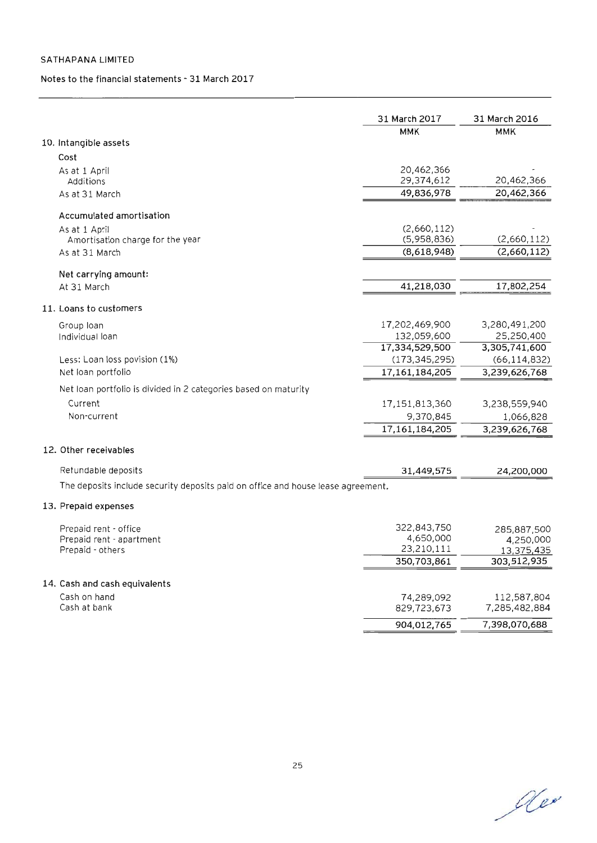#### Notes to the financial statements - 31 March 2017

|                                                                                  | 31 March 2017   | 31 March 2016            |
|----------------------------------------------------------------------------------|-----------------|--------------------------|
|                                                                                  | <b>MMK</b>      | <b>MMK</b>               |
| 10. Intangible assets                                                            |                 |                          |
| Cost                                                                             |                 |                          |
| As at 1 April                                                                    | 20,462,366      |                          |
| Additions                                                                        | 29,374,612      | 20,462,366               |
| As at 31 March                                                                   | 49,836,978      | 20,462,366               |
| Accumulated amortisation                                                         |                 |                          |
| As at 1 April                                                                    | (2,660,112)     |                          |
| Amortisation charge for the year                                                 | (5,958,836)     | (2,660,112)              |
| As at 31 March                                                                   | (8,618,948)     | (2,660,112)              |
| Net carrying amount:                                                             |                 |                          |
| At 31 March                                                                      | 41,218,030      | 17,802,254               |
| 11. Loans to customers                                                           |                 |                          |
| Group Ioan                                                                       | 17,202,469,900  | 3,280,491,200            |
| Individual loan                                                                  | 132,059,600     | 25,250,400               |
|                                                                                  | 17,334,529,500  | 3,305,741,600            |
| Less: Loan loss povision (1%)                                                    | (173, 345, 295) | (66, 114, 832)           |
| Net Ioan portfolio                                                               | 17,161,184,205  | 3,239,626,768            |
| Net loan portfolio is divided in 2 categories based on maturity                  |                 |                          |
| Current                                                                          | 17,151,813,360  | 3,238,559,940            |
| Non-current                                                                      | 9,370,845       | 1,066,828                |
|                                                                                  | 17,161,184,205  | 3,239,626,768            |
| 12. Other receivables                                                            |                 |                          |
| Retundable deposits                                                              | 31,449,575      | 24,200,000               |
| The deposits include security deposits paid on office and house lease agreement. |                 |                          |
| 13. Prepaid expenses                                                             |                 |                          |
| Prepaid rent - office                                                            | 322,843,750     |                          |
| Prepaid rent - apartment                                                         | 4,650,000       | 285,887,500<br>4,250,000 |
| Prepaid - others                                                                 | 23,210,111      | 13,375,435               |
|                                                                                  | 350,703,861     | 303,512,935              |
| 14. Cash and cash equivalents                                                    |                 |                          |
| Cash on hand                                                                     | 74,289,092      | 112,587,804              |
| Cash at bank                                                                     | 829,723,673     | 7,285,482,884            |
|                                                                                  | 904,012,765     | 7,398,070,688            |

de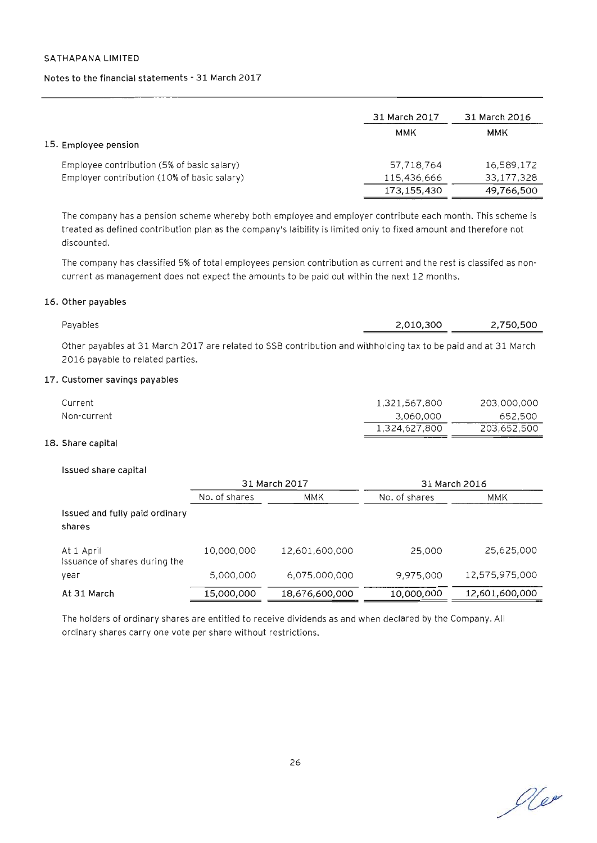#### **Notes to the financial statements - 31 March 2017**

|                                                                                           | 31 March 2017             | 31 March 2016            |
|-------------------------------------------------------------------------------------------|---------------------------|--------------------------|
| 15. Employee pension                                                                      | <b>MMK</b>                | ммк                      |
| Employee contribution (5% of basic salary)<br>Employer contribution (10% of basic salary) | 57,718,764<br>115,436,666 | 16,589,172<br>33,177,328 |
|                                                                                           | 173,155,430               | 49,766,500               |

The company has a pension scheme whereby both employee and employer contribute each month. This scheme is treated as defined contribution plan as the company's laibility is limited only to fixed amount and therefore not discounted.

The company has classified 5% of total employees pension contribution as current and the rest is classifed as noncurrent as management does not expect the amounts to be paid out within the next 12 months.

#### **16. Other payables**

| Pavables                                                                                                       | 2.010.300 | 2.750.500 |
|----------------------------------------------------------------------------------------------------------------|-----------|-----------|
| Other payables at 31 March 2017 are related to SSB contribution and withholding tax to be paid and at 31 March |           |           |

# **17. Customer savings payables**

2016 payable to related parties.

| Current     | 1,321,567,800 | 203,000,000 |
|-------------|---------------|-------------|
| Non-current | 3,060,000     | 652,500     |
|             | 1,324,627,800 | 203,652,500 |

#### **18. Share capital**

#### **Issued share capital**

|                                             | 31 March 2017 |                | 31 March 2016 |                |
|---------------------------------------------|---------------|----------------|---------------|----------------|
|                                             | No. of shares | <b>MMK</b>     | No. of shares | MMK            |
| Issued and fully paid ordinary<br>shares    |               |                |               |                |
| At 1 April<br>Issuance of shares during the | 10,000,000    | 12,601,600,000 | 25,000        | 25,625,000     |
| year                                        | 5,000,000     | 6.075.000.000  | 9,975,000     | 12,575,975,000 |
| At 31 March                                 | 15,000,000    | 18,676,600,000 | 10,000,000    | 12,601,600,000 |

The holders of ordinary shares are entitled to receive dividends as and when declared by the Company. All ordinary shares carry one vote per share without restrictions.

Ne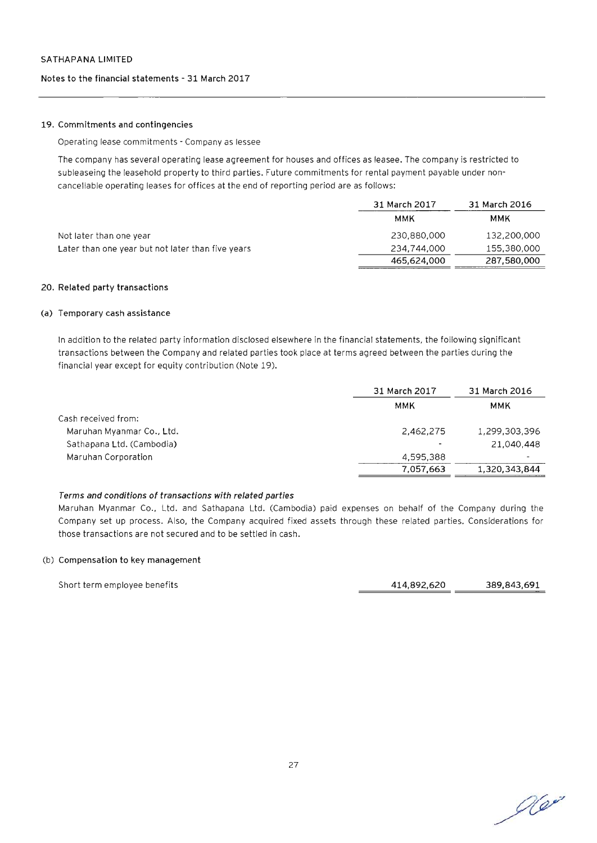#### **Notes to the financial statements - 31 March 2017**

#### **19. Commitments and contingencies**

Operating lease commitments - Company as lessee

The company has several operating lease agreement for houses and offices as leasee. The company is restricted to subleaseing the leasehold property to third parties. Future commitments for rental payment payable under noncancellable operating leases for offices at the end of reporting period are as follows:

|                                                   | 31 March 2017 | 31 March 2016 |  |
|---------------------------------------------------|---------------|---------------|--|
|                                                   | MMK           | MMK           |  |
| Not later than one year                           | 230.880.000   | 132,200,000   |  |
| Later than one year but not later than five years | 234,744,000   | 155.380.000   |  |
|                                                   | 465,624,000   | 287,580,000   |  |

#### **20. Related party transactions**

#### **(a) Temporary cash assistance**

In addition to the related party information disclosed elsewhere in the financial statements, the following significant transactions between the Company and related parties took place at terms agreed between the parties during the financial year except for equity contribution (Note 19).

| 31 March 2017 |               |
|---------------|---------------|
| ммк           | <b>MMK</b>    |
|               |               |
| 2.462.275     | 1,299,303,396 |
|               | 21.040.448    |
| 4.595.388     | ٠             |
| 7.057.663     | 1,320,343,844 |
|               |               |

#### **Terms and conditions of transactions with related parties**

Maruhan Myanmar Co., Ltd. and Sathapana Ltd. (Cambodia) paid expenses on behalf of the Company during the Company set up process. Also, the Company acquired fixed assets through these related parties. Considerations for those transactions are not secured and to be settled in cash.

#### (b) **Compensation to key management**

Short term employee benefits **414,892,620 389,843,691** 

 $O(e^{x})$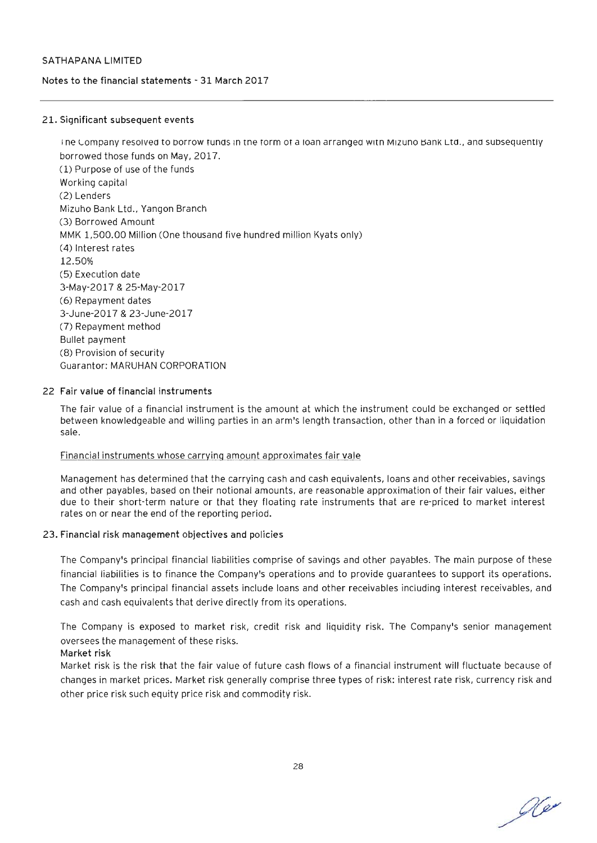#### Notes to the financial statements - 31 March 2017

#### 21. Significant subsequent events

I ne Company resolved to borrow runds in the form of a loan arranged with Mizuno Bank Ltd., and subsequently borrowed those funds on May, 2017. ( 1) Purpose of use of the funds Working capital (2) Lenders Mizuho Bank Ltd., Yangon Branch (3) Borrowed Amount MMK 1,500.00 Million (One thousand five hundred million Kyats only) (4) Interest rates 12.50% (5) Execution date 3-May-2017 & 25-May-2017 (6) Repayment dates 3-June-2017 & 23-June-2017 (7) Repayment method Bullet payment (8) Provision of security Guarantor: MARUHAN CORPORATION

#### 22 Fair value of financial instruments

The fair value of a financial instrument is the amount at which the instrument could be exchanged or settled between knowledgeable and willing parties in an arm's length transaction, other than in a forced or liquidation sale.

#### Financial instruments whose carrying amount approximates fair vale

Management has determined that the carrying cash and cash equivalents, loans and other receivables, savings and other payables, based on their notional amounts, are reasonable approximation of their fair values, either due to their short-term nature or that they floating rate instruments that are re-priced to market interest rates on or near the end of the reporting period.

#### 23. Financial risk management objectives and policies

The Company's principal financial liabilities comprise of savings and other payables. The main purpose of these financial liabilities is to finance the Company's operations and to provide guarantees to support its operations. The Company's principal financial assets include loans and other receivables including interest receivables, and cash and cash equivalents that derive directly from its operations.

The Company is exposed to market risk, credit risk and liquidity risk. The Company's senior management oversees the management of these risks.

#### Market risk

Market risk is the risk that the fair value of future cash flows of a financial instrument will fluctuate because of changes in market prices. Market risk generally comprise three types of risk: interest rate risk, currency risk and other price risk such equity price risk and commodity risk.

Ne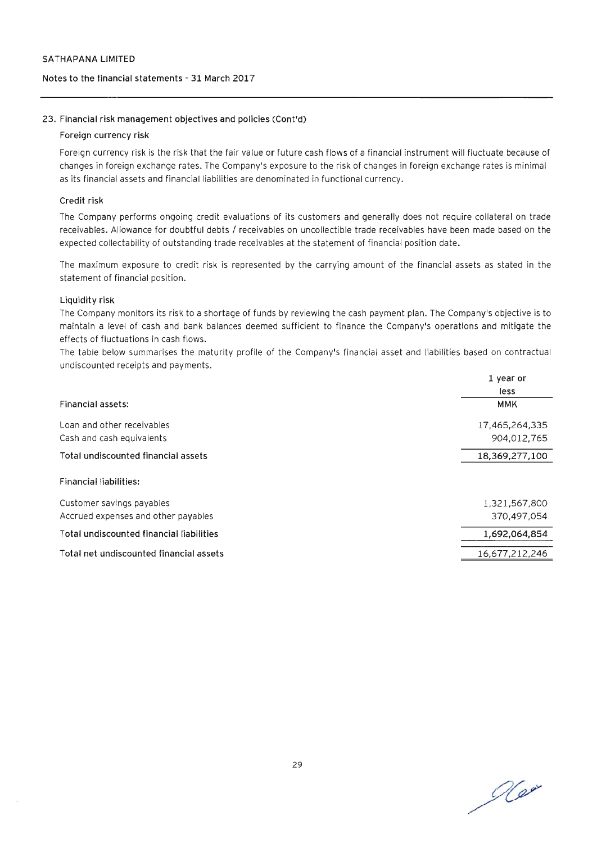#### Notes to the financial statements - 31 March 2017

#### 23. Financial risk management objectives and policies (Cont'd)

#### Foreign currency risk

Foreign currency risk is the risk that the fair value or future cash flows of a financial instrument will fluctuate because of changes in foreign exchange rates. The Company's exposure to the risk of changes in foreign exchange rates is minimal as its financial assets and financial liabilities are denominated in functional currency.

#### Credit risk

The Company performs ongoing credit evaluations of its customers and generally does not require collateral on trade receivables. Allowance for doubtful debts / receivables on uncollectible trade receivables have been made based on the expected collectability of outstanding trade receivables at the statement of financial position date.

The maximum exposure to credit risk is represented by the carrying amount of the financial assets as stated in the statement of financial position.

#### Liquidity risk

The Company monitors its risk to a shortage of funds by reviewing the cash payment plan. The Company's objective is to maintain a level of cash and bank balances deemed sufficient to finance the Company's operations and mitigate the effects of fluctuations in cash flows.

The table below summarises the maturity profile of the Company's financial asset and liabilities based on contractual undiscounted receipts and payments.

|                                          | 1 year or      |  |
|------------------------------------------|----------------|--|
|                                          | less           |  |
| Financial assets:                        | <b>MMK</b>     |  |
| Loan and other receivables               | 17,465,264,335 |  |
| Cash and cash equivalents                | 904.012.765    |  |
| Total undiscounted financial assets      | 18,369,277,100 |  |
| Financial liabilities:                   |                |  |
| Customer savings payables                | 1,321,567,800  |  |
| Accrued expenses and other payables      | 370,497,054    |  |
| Total undiscounted financial liabilities | 1,692,064,854  |  |
| Total net undiscounted financial assets  | 16,677,212,246 |  |

Ne